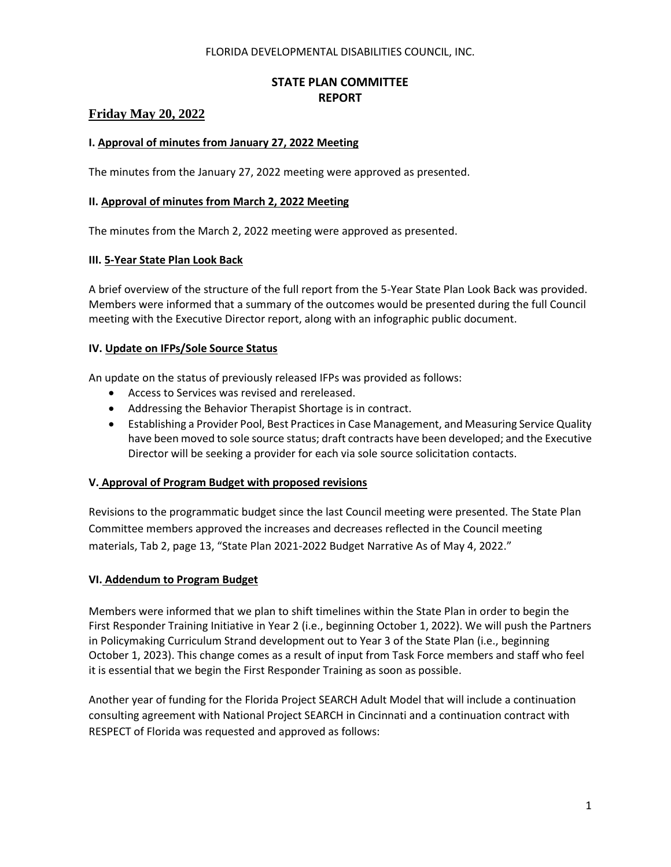#### FLORIDA DEVELOPMENTAL DISABILITIES COUNCIL, INC.

# **STATE PLAN COMMITTEE REPORT**

## **Friday May 20, 2022**

## **I. Approval of minutes from January 27, 2022 Meeting**

The minutes from the January 27, 2022 meeting were approved as presented.

#### **II. Approval of minutes from March 2, 2022 Meeting**

The minutes from the March 2, 2022 meeting were approved as presented.

#### **III. 5-Year State Plan Look Back**

A brief overview of the structure of the full report from the 5-Year State Plan Look Back was provided. Members were informed that a summary of the outcomes would be presented during the full Council meeting with the Executive Director report, along with an infographic public document.

#### **IV. Update on IFPs/Sole Source Status**

An update on the status of previously released IFPs was provided as follows:

- Access to Services was revised and rereleased.
- Addressing the Behavior Therapist Shortage is in contract.
- Establishing a Provider Pool, Best Practices in Case Management, and Measuring Service Quality have been moved to sole source status; draft contracts have been developed; and the Executive Director will be seeking a provider for each via sole source solicitation contacts.

## **V. Approval of Program Budget with proposed revisions**

Revisions to the programmatic budget since the last Council meeting were presented. The State Plan Committee members approved the increases and decreases reflected in the Council meeting materials, Tab 2, page 13, "State Plan 2021-2022 Budget Narrative As of May 4, 2022."

## **VI. Addendum to Program Budget**

Members were informed that we plan to shift timelines within the State Plan in order to begin the First Responder Training Initiative in Year 2 (i.e., beginning October 1, 2022). We will push the Partners in Policymaking Curriculum Strand development out to Year 3 of the State Plan (i.e., beginning October 1, 2023). This change comes as a result of input from Task Force members and staff who feel it is essential that we begin the First Responder Training as soon as possible.

Another year of funding for the Florida Project SEARCH Adult Model that will include a continuation consulting agreement with National Project SEARCH in Cincinnati and a continuation contract with RESPECT of Florida was requested and approved as follows: